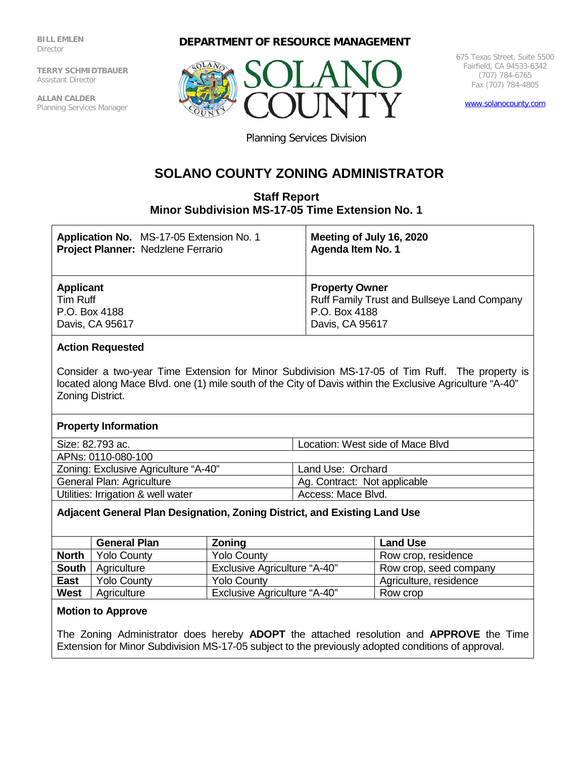**BILL EMLEN Director** 

**TERRY SCHMIDTBAUER** Assistant Director

**ALLAN CALDER** Planning Services Manager





675 Texas Street, Suite 5500 Fairfield, CA 94533-6342 (707) 784-6765 Fax (707) 784-4805

[www.solanocounty.com](http://www.solanocounty.com/)

Planning Services Division

# **SOLANO COUNTY ZONING ADMINISTRATOR**

# **Staff Report Minor Subdivision MS-17-05 Time Extension No. 1**

| Application No. MS-17-05 Extension No. 1 | Meeting of July 16, 2020                           |
|------------------------------------------|----------------------------------------------------|
| Project Planner: Nedzlene Ferrario       | Agenda Item No. 1                                  |
| <b>Applicant</b>                         | <b>Property Owner</b>                              |
| Tim Ruff                                 | <b>Ruff Family Trust and Bullseye Land Company</b> |
| P.O. Box 4188                            | P.O. Box 4188                                      |
| Davis, CA 95617                          | Davis, CA 95617                                    |

## **Action Requested**

Consider a two-year Time Extension for Minor Subdivision MS-17-05 of Tim Ruff. The property is located along Mace Blvd. one (1) mile south of the City of Davis within the Exclusive Agriculture "A-40" Zoning District.

### **Property Information**

Size: 82.793 ac. Location: West side of Mace Blvd

APNs: 0110-080-100

Zoning: Exclusive Agriculture "A-40" | Land Use: Orchard General Plan: Agriculture Agency Ag. Contract: Not applicable

Utilities: Irrigation & well water  $\blacksquare$  Access: Mace Blvd.

# **Adjacent General Plan Designation, Zoning District, and Existing Land Use**

|              | <b>General Plan</b> | Zoning                              | <b>Land Use</b>        |
|--------------|---------------------|-------------------------------------|------------------------|
| <b>North</b> | <b>Yolo County</b>  | <b>Yolo County</b>                  | Row crop, residence    |
| <b>South</b> | Agriculture         | <b>Exclusive Agriculture "A-40"</b> | Row crop, seed company |
| <b>East</b>  | <b>Yolo County</b>  | <b>Yolo County</b>                  | Agriculture, residence |
| <b>West</b>  | Agriculture         | <b>Exclusive Agriculture "A-40"</b> | Row crop               |

### **Motion to Approve**

The Zoning Administrator does hereby **ADOPT** the attached resolution and **APPROVE** the Time Extension for Minor Subdivision MS-17-05 subject to the previously adopted conditions of approval.